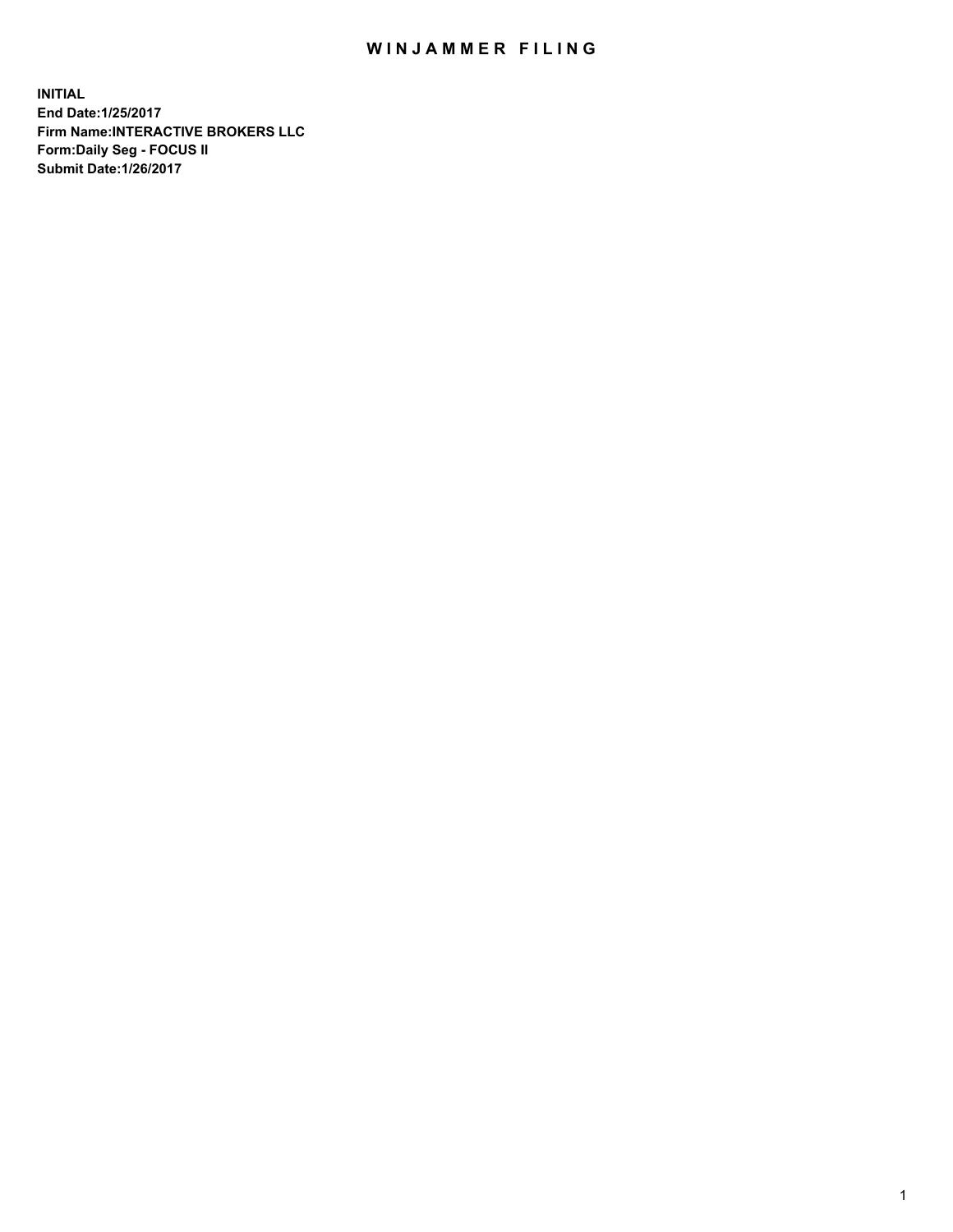## WIN JAMMER FILING

**INITIAL End Date:1/25/2017 Firm Name:INTERACTIVE BROKERS LLC Form:Daily Seg - FOCUS II Submit Date:1/26/2017**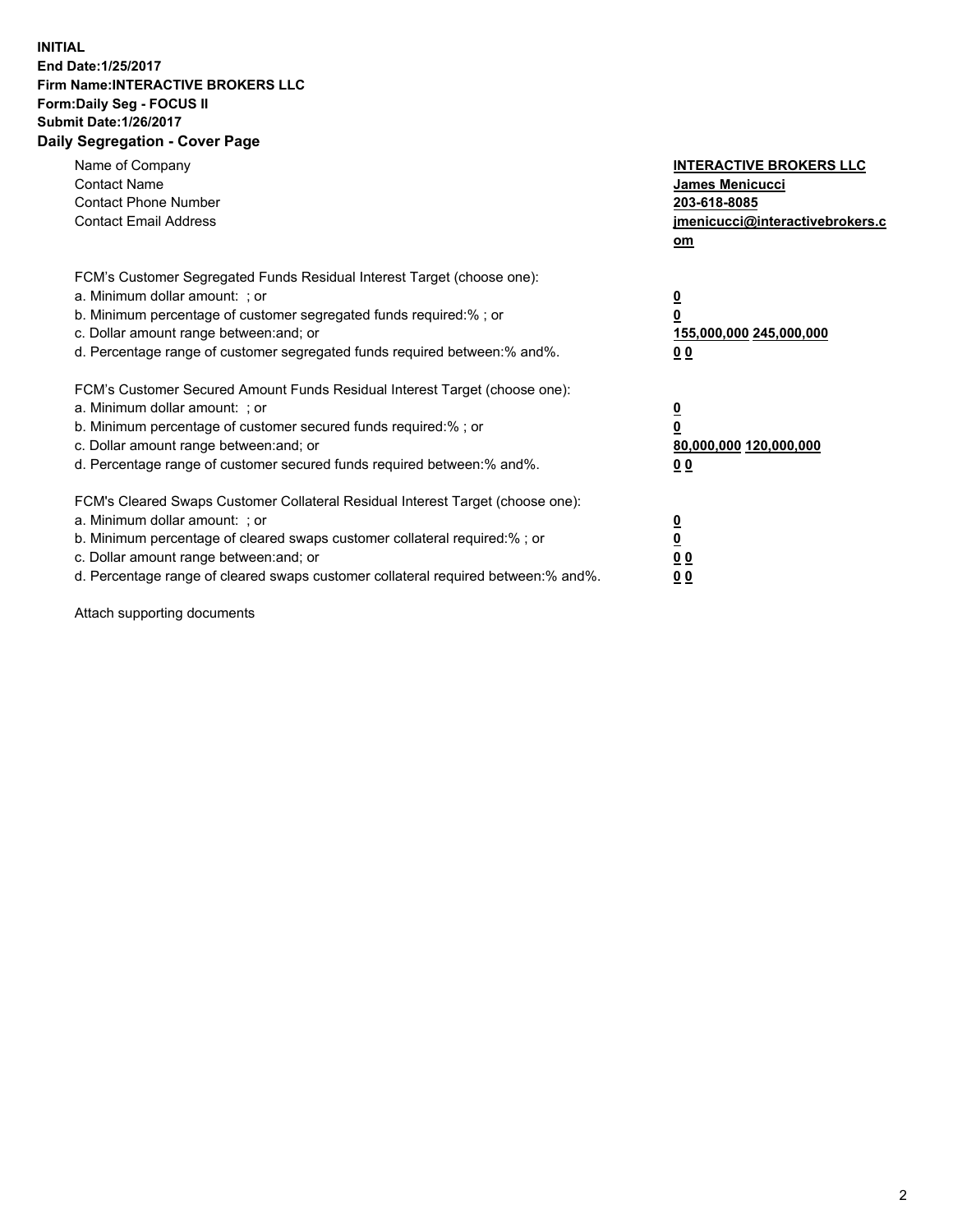## **INITIAL End Date:1/25/2017 Firm Name:INTERACTIVE BROKERS LLC Form:Daily Seg - FOCUS II Submit Date:1/26/2017 Daily Segregation - Cover Page**

| Name of Company<br><b>Contact Name</b><br><b>Contact Phone Number</b><br><b>Contact Email Address</b>                                                                                                                                                                                                                          | <b>INTERACTIVE BROKERS LLC</b><br><b>James Menicucci</b><br>203-618-8085<br>jmenicucci@interactivebrokers.c<br>om |
|--------------------------------------------------------------------------------------------------------------------------------------------------------------------------------------------------------------------------------------------------------------------------------------------------------------------------------|-------------------------------------------------------------------------------------------------------------------|
| FCM's Customer Segregated Funds Residual Interest Target (choose one):<br>a. Minimum dollar amount: ; or<br>b. Minimum percentage of customer segregated funds required:%; or<br>c. Dollar amount range between: and; or<br>d. Percentage range of customer segregated funds required between:% and%.                          | $\overline{\mathbf{0}}$<br>0<br>155,000,000 245,000,000<br>0 <sub>0</sub>                                         |
| FCM's Customer Secured Amount Funds Residual Interest Target (choose one):<br>a. Minimum dollar amount: ; or<br>b. Minimum percentage of customer secured funds required:%; or<br>c. Dollar amount range between: and; or<br>d. Percentage range of customer secured funds required between: % and %.                          | $\overline{\mathbf{0}}$<br>0<br>80,000,000 120,000,000<br>0 <sub>0</sub>                                          |
| FCM's Cleared Swaps Customer Collateral Residual Interest Target (choose one):<br>a. Minimum dollar amount: ; or<br>b. Minimum percentage of cleared swaps customer collateral required:% ; or<br>c. Dollar amount range between: and; or<br>d. Percentage range of cleared swaps customer collateral required between:% and%. | $\overline{\mathbf{0}}$<br>$\overline{\mathbf{0}}$<br>0 <sub>0</sub><br><u>00</u>                                 |

Attach supporting documents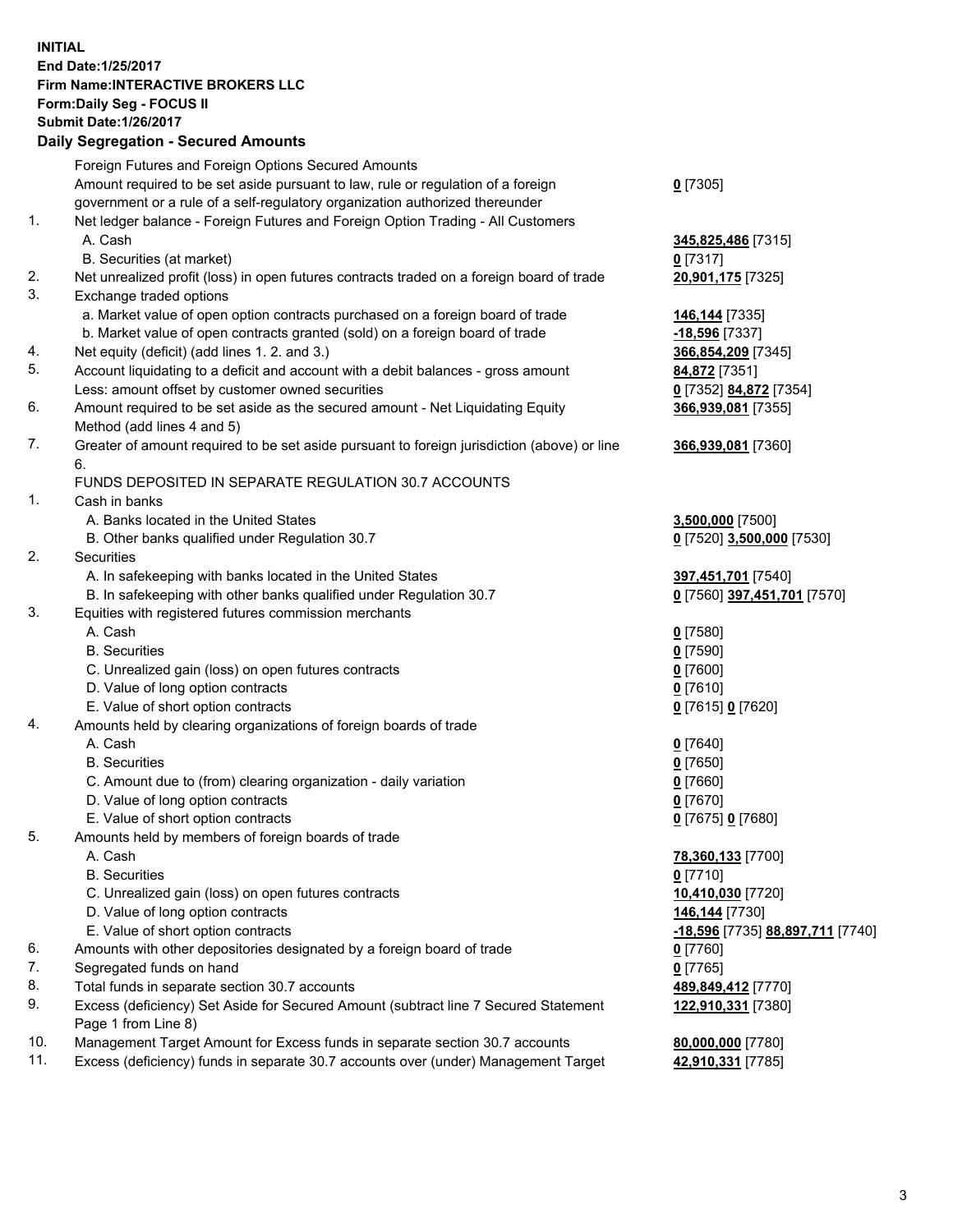## **INITIAL End Date:1/25/2017 Firm Name:INTERACTIVE BROKERS LLC Form:Daily Seg - FOCUS II Submit Date:1/26/2017**

## **Daily Segregation - Secured Amounts** Foreign Futures and Foreign Options Secured Amounts Amount required to be set aside pursuant to law, rule or regulation of a foreign government or a rule of a self-regulatory organization authorized thereunder **0** [7305] 1. Net ledger balance - Foreign Futures and Foreign Option Trading - All Customers A. Cash **345,825,486** [7315] B. Securities (at market) **0** [7317] 2. Net unrealized profit (loss) in open futures contracts traded on a foreign board of trade **20,901,175** [7325] 3. Exchange traded options a. Market value of open option contracts purchased on a foreign board of trade **146,144** [7335] b. Market value of open contracts granted (sold) on a foreign board of trade **-18,596** [7337] 4. Net equity (deficit) (add lines 1. 2. and 3.) **366,854,209** [7345] 5. Account liquidating to a deficit and account with a debit balances - gross amount **84,872** [7351] Less: amount offset by customer owned securities **0** [7352] **84,872** [7354] 6. Amount required to be set aside as the secured amount - Net Liquidating Equity Method (add lines 4 and 5) **366,939,081** [7355] 7. Greater of amount required to be set aside pursuant to foreign jurisdiction (above) or line 6. **366,939,081** [7360] FUNDS DEPOSITED IN SEPARATE REGULATION 30.7 ACCOUNTS 1. Cash in banks A. Banks located in the United States **3,500,000** [7500] B. Other banks qualified under Regulation 30.7 **0** [7520] **3,500,000** [7530] 2. Securities A. In safekeeping with banks located in the United States **397,451,701** [7540] B. In safekeeping with other banks qualified under Regulation 30.7 **0** [7560] **397,451,701** [7570] 3. Equities with registered futures commission merchants A. Cash **0** [7580] B. Securities **0** [7590] C. Unrealized gain (loss) on open futures contracts **0** [7600] D. Value of long option contracts **0** [7610] E. Value of short option contracts **0** [7615] **0** [7620] 4. Amounts held by clearing organizations of foreign boards of trade A. Cash **0** [7640] B. Securities **0** [7650] C. Amount due to (from) clearing organization - daily variation **0** [7660] D. Value of long option contracts **0** [7670] E. Value of short option contracts **0** [7675] **0** [7680] 5. Amounts held by members of foreign boards of trade A. Cash **78,360,133** [7700] B. Securities **0** [7710] C. Unrealized gain (loss) on open futures contracts **10,410,030** [7720] D. Value of long option contracts **146,144** [7730] E. Value of short option contracts **-18,596** [7735] **88,897,711** [7740] 6. Amounts with other depositories designated by a foreign board of trade **0** [7760] 7. Segregated funds on hand **0** [7765]

- 8. Total funds in separate section 30.7 accounts **489,849,412** [7770]
- 9. Excess (deficiency) Set Aside for Secured Amount (subtract line 7 Secured Statement Page 1 from Line 8)
- 10. Management Target Amount for Excess funds in separate section 30.7 accounts **80,000,000** [7780]
- 11. Excess (deficiency) funds in separate 30.7 accounts over (under) Management Target **42,910,331** [7785]

**122,910,331** [7380]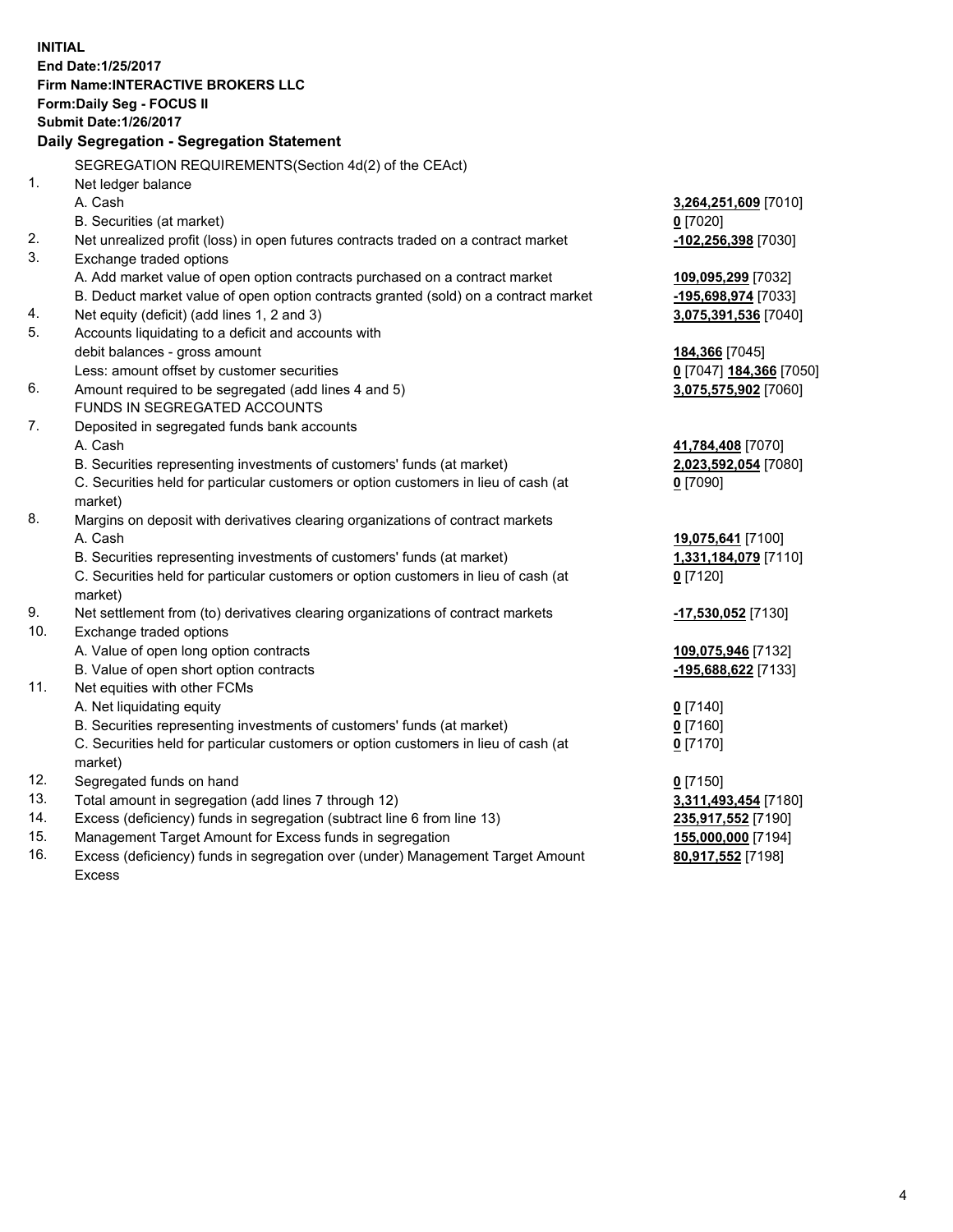**INITIAL End Date:1/25/2017 Firm Name:INTERACTIVE BROKERS LLC Form:Daily Seg - FOCUS II Submit Date:1/26/2017 Daily Segregation - Segregation Statement** SEGREGATION REQUIREMENTS(Section 4d(2) of the CEAct) 1. Net ledger balance A. Cash **3,264,251,609** [7010] B. Securities (at market) **0** [7020] 2. Net unrealized profit (loss) in open futures contracts traded on a contract market **-102,256,398** [7030] 3. Exchange traded options A. Add market value of open option contracts purchased on a contract market **109,095,299** [7032] B. Deduct market value of open option contracts granted (sold) on a contract market **-195,698,974** [7033] 4. Net equity (deficit) (add lines 1, 2 and 3) **3,075,391,536** [7040] 5. Accounts liquidating to a deficit and accounts with debit balances - gross amount **184,366** [7045] Less: amount offset by customer securities **0** [7047] **184,366** [7050] 6. Amount required to be segregated (add lines 4 and 5) **3,075,575,902** [7060] FUNDS IN SEGREGATED ACCOUNTS 7. Deposited in segregated funds bank accounts A. Cash **41,784,408** [7070] B. Securities representing investments of customers' funds (at market) **2,023,592,054** [7080] C. Securities held for particular customers or option customers in lieu of cash (at market) **0** [7090] 8. Margins on deposit with derivatives clearing organizations of contract markets A. Cash **19,075,641** [7100] B. Securities representing investments of customers' funds (at market) **1,331,184,079** [7110] C. Securities held for particular customers or option customers in lieu of cash (at market) **0** [7120] 9. Net settlement from (to) derivatives clearing organizations of contract markets **-17,530,052** [7130] 10. Exchange traded options A. Value of open long option contracts **109,075,946** [7132] B. Value of open short option contracts **-195,688,622** [7133] 11. Net equities with other FCMs A. Net liquidating equity **0** [7140] B. Securities representing investments of customers' funds (at market) **0** [7160] C. Securities held for particular customers or option customers in lieu of cash (at market) **0** [7170] 12. Segregated funds on hand **0** [7150] 13. Total amount in segregation (add lines 7 through 12) **3,311,493,454** [7180] 14. Excess (deficiency) funds in segregation (subtract line 6 from line 13) **235,917,552** [7190] 15. Management Target Amount for Excess funds in segregation **155,000,000** [7194]

16. Excess (deficiency) funds in segregation over (under) Management Target Amount Excess

**80,917,552** [7198]